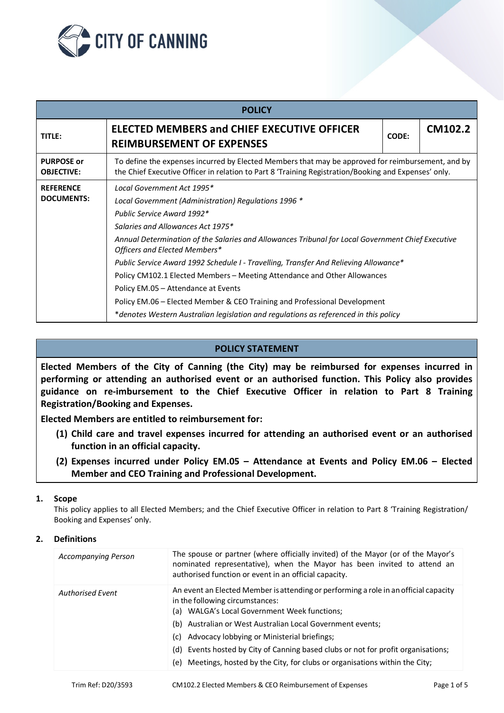

| <b>POLICY</b>                          |                                                                                                                                                                                                                                                                                                                                                                                        |                                                                                                                                                                                           |         |  |  |
|----------------------------------------|----------------------------------------------------------------------------------------------------------------------------------------------------------------------------------------------------------------------------------------------------------------------------------------------------------------------------------------------------------------------------------------|-------------------------------------------------------------------------------------------------------------------------------------------------------------------------------------------|---------|--|--|
| TITLE:                                 | <b>ELECTED MEMBERS and CHIEF EXECUTIVE OFFICER</b><br><b>REIMBURSEMENT OF EXPENSES</b>                                                                                                                                                                                                                                                                                                 | CODE:                                                                                                                                                                                     | CM102.2 |  |  |
| <b>PURPOSE or</b><br><b>OBJECTIVE:</b> | To define the expenses incurred by Elected Members that may be approved for reimbursement, and by<br>the Chief Executive Officer in relation to Part 8 'Training Registration/Booking and Expenses' only.                                                                                                                                                                              |                                                                                                                                                                                           |         |  |  |
| <b>REFERENCE</b><br><b>DOCUMENTS:</b>  | Local Government Act 1995*<br>Local Government (Administration) Regulations 1996 *<br>Public Service Award 1992*<br>Salaries and Allowances Act 1975*<br>Officers and Elected Members*<br>Policy CM102.1 Elected Members – Meeting Attendance and Other Allowances<br>Policy EM.05 - Attendance at Events<br>Policy EM.06 - Elected Member & CEO Training and Professional Development | Annual Determination of the Salaries and Allowances Tribunal for Local Government Chief Executive<br>Public Service Award 1992 Schedule I - Travelling, Transfer And Relieving Allowance* |         |  |  |
|                                        | *denotes Western Australian legislation and regulations as referenced in this policy                                                                                                                                                                                                                                                                                                   |                                                                                                                                                                                           |         |  |  |

# **POLICY STATEMENT**

**Elected Members of the City of Canning (the City) may be reimbursed for expenses incurred in performing or attending an authorised event or an authorised function. This Policy also provides guidance on re-imbursement to the Chief Executive Officer in relation to Part 8 Training Registration/Booking and Expenses.**

**Elected Members are entitled to reimbursement for:**

- **(1) Child care and travel expenses incurred for attending an authorised event or an authorised function in an official capacity.**
- **(2) Expenses incurred under Policy EM.05 – Attendance at Events and Policy EM.06 – Elected Member and CEO Training and Professional Development.**

## **1. Scope**

This policy applies to all Elected Members; and the Chief Executive Officer in relation to Part 8 'Training Registration/ Booking and Expenses' only.

## **2. Definitions**

| <b>Accompanying Person</b> | The spouse or partner (where officially invited) of the Mayor (or of the Mayor's<br>nominated representative), when the Mayor has been invited to attend an<br>authorised function or event in an official capacity.                                                                                                                                                                                                                                               |
|----------------------------|--------------------------------------------------------------------------------------------------------------------------------------------------------------------------------------------------------------------------------------------------------------------------------------------------------------------------------------------------------------------------------------------------------------------------------------------------------------------|
| <b>Authorised Event</b>    | An event an Elected Member is attending or performing a role in an official capacity<br>in the following circumstances:<br>(a) WALGA's Local Government Week functions;<br>(b) Australian or West Australian Local Government events;<br>Advocacy lobbying or Ministerial briefings;<br>(c).<br>(d) Events hosted by City of Canning based clubs or not for profit organisations;<br>(e) Meetings, hosted by the City, for clubs or organisations within the City; |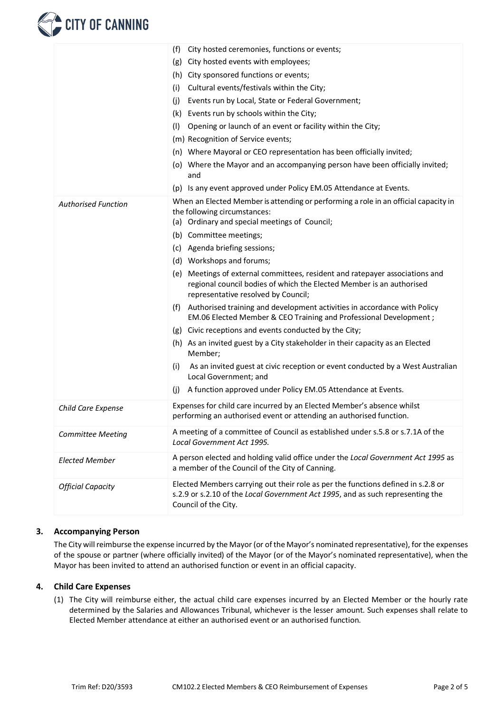# **CITY OF CANNING**

|                            | City hosted ceremonies, functions or events;<br>(f)                                                                                                                                            |  |  |
|----------------------------|------------------------------------------------------------------------------------------------------------------------------------------------------------------------------------------------|--|--|
|                            | City hosted events with employees;<br>(g)                                                                                                                                                      |  |  |
|                            | (h) City sponsored functions or events;                                                                                                                                                        |  |  |
|                            | Cultural events/festivals within the City;<br>(i)                                                                                                                                              |  |  |
|                            | (i)<br>Events run by Local, State or Federal Government;                                                                                                                                       |  |  |
|                            | Events run by schools within the City;<br>(k)                                                                                                                                                  |  |  |
|                            | (1)<br>Opening or launch of an event or facility within the City;                                                                                                                              |  |  |
|                            | (m) Recognition of Service events;                                                                                                                                                             |  |  |
|                            | (n) Where Mayoral or CEO representation has been officially invited;                                                                                                                           |  |  |
|                            | (o) Where the Mayor and an accompanying person have been officially invited;<br>and                                                                                                            |  |  |
|                            | (p) Is any event approved under Policy EM.05 Attendance at Events.                                                                                                                             |  |  |
| <b>Authorised Function</b> | When an Elected Member is attending or performing a role in an official capacity in<br>the following circumstances:<br>(a) Ordinary and special meetings of Council;                           |  |  |
|                            | (b) Committee meetings;                                                                                                                                                                        |  |  |
|                            | (c) Agenda briefing sessions;                                                                                                                                                                  |  |  |
|                            | (d) Workshops and forums;                                                                                                                                                                      |  |  |
|                            | Meetings of external committees, resident and ratepayer associations and<br>(e)<br>regional council bodies of which the Elected Member is an authorised<br>representative resolved by Council; |  |  |
|                            | (f) Authorised training and development activities in accordance with Policy<br>EM.06 Elected Member & CEO Training and Professional Development;                                              |  |  |
|                            | (g) Civic receptions and events conducted by the City;                                                                                                                                         |  |  |
|                            | (h) As an invited guest by a City stakeholder in their capacity as an Elected<br>Member;                                                                                                       |  |  |
|                            | (i)<br>As an invited guest at civic reception or event conducted by a West Australian<br>Local Government; and                                                                                 |  |  |
|                            | (i)<br>A function approved under Policy EM.05 Attendance at Events.                                                                                                                            |  |  |
| Child Care Expense         | Expenses for child care incurred by an Elected Member's absence whilst<br>performing an authorised event or attending an authorised function.                                                  |  |  |
| <b>Committee Meeting</b>   | A meeting of a committee of Council as established under s.5.8 or s.7.1A of the<br>Local Government Act 1995.                                                                                  |  |  |
| <b>Elected Member</b>      | A person elected and holding valid office under the Local Government Act 1995 as<br>a member of the Council of the City of Canning.                                                            |  |  |
| <b>Official Capacity</b>   | Elected Members carrying out their role as per the functions defined in s.2.8 or<br>s.2.9 or s.2.10 of the Local Government Act 1995, and as such representing the<br>Council of the City.     |  |  |

# **3. Accompanying Person**

The City will reimburse the expense incurred by the Mayor (or of the Mayor's nominated representative), for the expenses of the spouse or partner (where officially invited) of the Mayor (or of the Mayor's nominated representative), when the Mayor has been invited to attend an authorised function or event in an official capacity.

# **4. Child Care Expenses**

(1) The City will reimburse either, the actual child care expenses incurred by an Elected Member or the hourly rate determined by the Salaries and Allowances Tribunal, whichever is the lesser amount. Such expenses shall relate to Elected Member attendance at either an authorised event or an authorised function.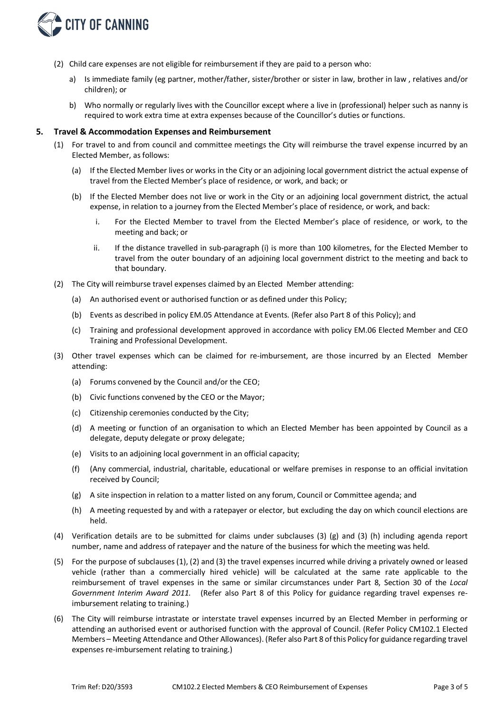

- (2) Child care expenses are not eligible for reimbursement if they are paid to a person who:
	- a) Is immediate family (eg partner, mother/father, sister/brother or sister in law, brother in law, relatives and/or children); or
	- b) Who normally or regularly lives with the Councillor except where a live in (professional) helper such as nanny is required to work extra time at extra expenses because of the Councillor's duties or functions.

#### **5. Travel & Accommodation Expenses and Reimbursement**

- (1) For travel to and from council and committee meetings the City will reimburse the travel expense incurred by an Elected Member, as follows:
	- (a) If the Elected Member lives or works in the City or an adjoining local government district the actual expense of travel from the Elected Member's place of residence, or work, and back; or
	- (b) If the Elected Member does not live or work in the City or an adjoining local government district, the actual expense, in relation to a journey from the Elected Member's place of residence, or work, and back:
		- i. For the Elected Member to travel from the Elected Member's place of residence, or work, to the meeting and back; or
		- ii. If the distance travelled in sub-paragraph (i) is more than 100 kilometres, for the Elected Member to travel from the outer boundary of an adjoining local government district to the meeting and back to that boundary.
- (2) The City will reimburse travel expenses claimed by an Elected Member attending:
	- (a) An authorised event or authorised function or as defined under this Policy;
	- (b) Events as described in policy EM.05 Attendance at Events. (Refer also Part 8 of this Policy); and
	- (c) Training and professional development approved in accordance with policy EM.06 Elected Member and CEO Training and Professional Development.
- (3) Other travel expenses which can be claimed for re-imbursement, are those incurred by an Elected Member attending:
	- (a) Forums convened by the Council and/or the CEO;
	- (b) Civic functions convened by the CEO or the Mayor;
	- (c) Citizenship ceremonies conducted by the City;
	- (d) A meeting or function of an organisation to which an Elected Member has been appointed by Council as a delegate, deputy delegate or proxy delegate;
	- (e) Visits to an adjoining local government in an official capacity;
	- (f) (Any commercial, industrial, charitable, educational or welfare premises in response to an official invitation received by Council;
	- (g) A site inspection in relation to a matter listed on any forum, Council or Committee agenda; and
	- (h) A meeting requested by and with a ratepayer or elector, but excluding the day on which council elections are held.
- (4) Verification details are to be submitted for claims under subclauses (3) (g) and (3) (h) including agenda report number, name and address of ratepayer and the nature of the business for which the meeting was held.
- (5) For the purpose of subclauses (1), (2) and (3) the travel expenses incurred while driving a privately owned or leased vehicle (rather than a commercially hired vehicle) will be calculated at the same rate applicable to the reimbursement of travel expenses in the same or similar circumstances under Part 8, Section 30 of the *Local Government Interim Award 2011.* (Refer also Part 8 of this Policy for guidance regarding travel expenses reimbursement relating to training.)
- (6) The City will reimburse intrastate or interstate travel expenses incurred by an Elected Member in performing or attending an authorised event or authorised function with the approval of Council. (Refer Policy CM102.1 Elected Members – Meeting Attendance and Other Allowances). (Refer also Part 8 of this Policy for guidance regarding travel expenses re-imbursement relating to training.)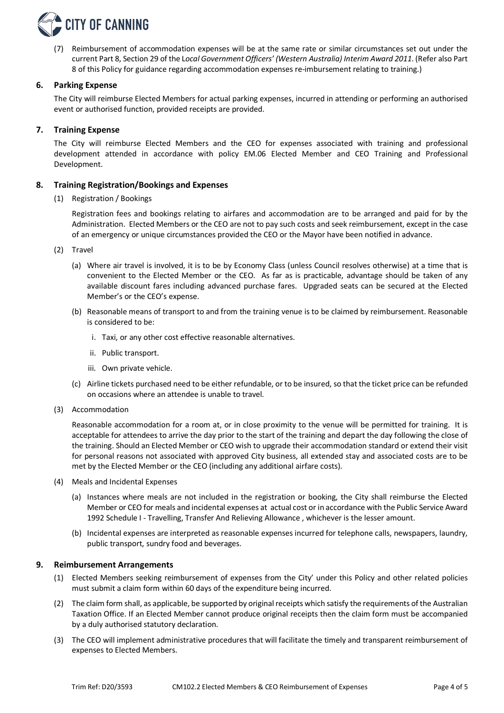

(7) Reimbursement of accommodation expenses will be at the same rate or similar circumstances set out under the current Part 8, Section 29 of the L*ocal Government Officers' (Western Australia) Interim Award 2011*. (Refer also Part 8 of this Policy for guidance regarding accommodation expenses re-imbursement relating to training.)

#### **6. Parking Expense**

The City will reimburse Elected Members for actual parking expenses, incurred in attending or performing an authorised event or authorised function, provided receipts are provided.

#### **7. Training Expense**

The City will reimburse Elected Members and the CEO for expenses associated with training and professional development attended in accordance with policy EM.06 Elected Member and CEO Training and Professional Development.

#### **8. Training Registration/Bookings and Expenses**

(1) Registration / Bookings

Registration fees and bookings relating to airfares and accommodation are to be arranged and paid for by the Administration. Elected Members or the CEO are not to pay such costs and seek reimbursement, except in the case of an emergency or unique circumstances provided the CEO or the Mayor have been notified in advance.

- (2) Travel
	- (a) Where air travel is involved, it is to be by Economy Class (unless Council resolves otherwise) at a time that is convenient to the Elected Member or the CEO. As far as is practicable, advantage should be taken of any available discount fares including advanced purchase fares. Upgraded seats can be secured at the Elected Member's or the CEO's expense.
	- (b) Reasonable means of transport to and from the training venue is to be claimed by reimbursement. Reasonable is considered to be:
		- i. Taxi, or any other cost effective reasonable alternatives.
		- ii. Public transport.
		- iii. Own private vehicle.
	- (c) Airline tickets purchased need to be either refundable, or to be insured, so that the ticket price can be refunded on occasions where an attendee is unable to travel.
- (3) Accommodation

Reasonable accommodation for a room at, or in close proximity to the venue will be permitted for training. It is acceptable for attendees to arrive the day prior to the start of the training and depart the day following the close of the training. Should an Elected Member or CEO wish to upgrade their accommodation standard or extend their visit for personal reasons not associated with approved City business, all extended stay and associated costs are to be met by the Elected Member or the CEO (including any additional airfare costs).

- (4) Meals and Incidental Expenses
	- (a) Instances where meals are not included in the registration or booking, the City shall reimburse the Elected Member or CEO for meals and incidental expenses at actual cost or in accordance with the Public Service Award 1992 Schedule I - Travelling, Transfer And Relieving Allowance , whichever is the lesser amount.
	- (b) Incidental expenses are interpreted as reasonable expenses incurred for telephone calls, newspapers, laundry, public transport, sundry food and beverages.

#### **9. Reimbursement Arrangements**

- (1) Elected Members seeking reimbursement of expenses from the City' under this Policy and other related policies must submit a claim form within 60 days of the expenditure being incurred.
- (2) The claim form shall, as applicable, be supported by original receipts which satisfy the requirements of the Australian Taxation Office. If an Elected Member cannot produce original receipts then the claim form must be accompanied by a duly authorised statutory declaration.
- (3) The CEO will implement administrative procedures that will facilitate the timely and transparent reimbursement of expenses to Elected Members.